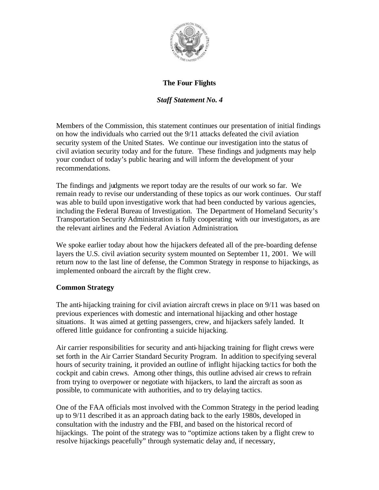

# **The Four Flights**

### *Staff Statement No. 4*

Members of the Commission, this statement continues our presentation of initial findings on how the individuals who carried out the 9/11 attacks defeated the civil aviation security system of the United States. We continue our investigation into the status of civil aviation security today and for the future. These findings and judgments may help your conduct of today's public hearing and will inform the development of your recommendations.

The findings and judgments we report today are the results of our work so far. We remain ready to revise our understanding of these topics as our work continues. Our staff was able to build upon investigative work that had been conducted by various agencies, including the Federal Bureau of Investigation. The Department of Homeland Security's Transportation Security Administration is fully cooperating with our investigators, as are the relevant airlines and the Federal Aviation Administration.

We spoke earlier today about how the hijackers defeated all of the pre-boarding defense layers the U.S. civil aviation security system mounted on September 11, 2001. We will return now to the last line of defense, the Common Strategy in response to hijackings, as implemented onboard the aircraft by the flight crew.

#### **Common Strategy**

The anti-hijacking training for civil aviation aircraft crews in place on 9/11 was based on previous experiences with domestic and international hijacking and other hostage situations. It was aimed at getting passengers, crew, and hijackers safely landed. It offered little guidance for confronting a suicide hijacking.

Air carrier responsibilities for security and anti-hijacking training for flight crews were set forth in the Air Carrier Standard Security Program. In addition to specifying several hours of security training, it provided an outline of inflight hijacking tactics for both the cockpit and cabin crews. Among other things, this outline advised air crews to refrain from trying to overpower or negotiate with hijackers, to land the aircraft as soon as possible, to communicate with authorities, and to try delaying tactics.

One of the FAA officials most involved with the Common Strategy in the period leading up to 9/11 described it as an approach dating back to the early 1980s, developed in consultation with the industry and the FBI, and based on the historical record of hijackings. The point of the strategy was to "optimize actions taken by a flight crew to resolve hijackings peacefully" through systematic delay and, if necessary,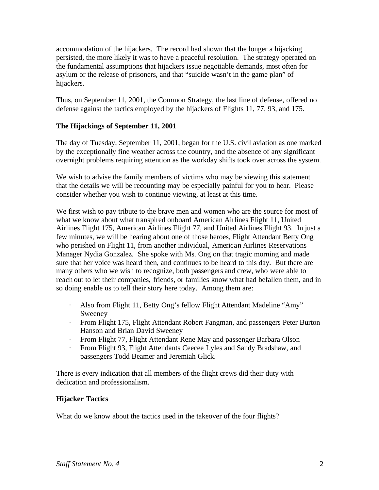accommodation of the hijackers. The record had shown that the longer a hijacking persisted, the more likely it was to have a peaceful resolution. The strategy operated on the fundamental assumptions that hijackers issue negotiable demands, most often for asylum or the release of prisoners, and that "suicide wasn't in the game plan" of hijackers.

Thus, on September 11, 2001, the Common Strategy, the last line of defense, offered no defense against the tactics employed by the hijackers of Flights 11, 77, 93, and 175.

## **The Hijackings of September 11, 2001**

The day of Tuesday, September 11, 2001, began for the U.S. civil aviation as one marked by the exceptionally fine weather across the country, and the absence of any significant overnight problems requiring attention as the workday shifts took over across the system.

We wish to advise the family members of victims who may be viewing this statement that the details we will be recounting may be especially painful for you to hear. Please consider whether you wish to continue viewing, at least at this time.

We first wish to pay tribute to the brave men and women who are the source for most of what we know about what transpired onboard American Airlines Flight 11, United Airlines Flight 175, American Airlines Flight 77, and United Airlines Flight 93. In just a few minutes, we will be hearing about one of those heroes, Flight Attendant Betty Ong who perished on Flight 11, from another individual, American Airlines Reservations Manager Nydia Gonzalez. She spoke with Ms. Ong on that tragic morning and made sure that her voice was heard then, and continues to be heard to this day. But there are many others who we wish to recognize, both passengers and crew, who were able to reach out to let their companies, friends, or families know what had befallen them, and in so doing enable us to tell their story here today. Among them are:

- · Also from Flight 11, Betty Ong's fellow Flight Attendant Madeline "Amy" Sweeney
- · From Flight 175, Flight Attendant Robert Fangman, and passengers Peter Burton Hanson and Brian David Sweeney
- From Flight 77, Flight Attendant Rene May and passenger Barbara Olson
- · From Flight 93, Flight Attendants Ceecee Lyles and Sandy Bradshaw, and passengers Todd Beamer and Jeremiah Glick.

There is every indication that all members of the flight crews did their duty with dedication and professionalism.

### **Hijacker Tactics**

What do we know about the tactics used in the takeover of the four flights?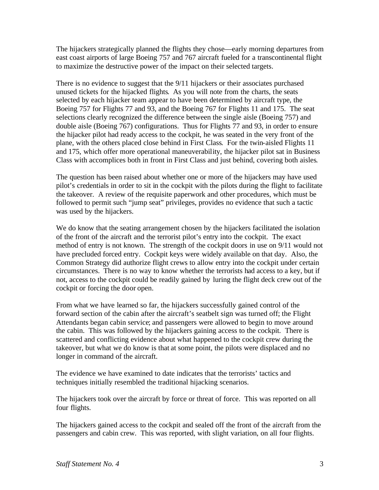The hijackers strategically planned the flights they chose—early morning departures from east coast airports of large Boeing 757 and 767 aircraft fueled for a transcontinental flight to maximize the destructive power of the impact on their selected targets.

There is no evidence to suggest that the 9/11 hijackers or their associates purchased unused tickets for the hijacked flights. As you will note from the charts, the seats selected by each hijacker team appear to have been determined by aircraft type, the Boeing 757 for Flights 77 and 93, and the Boeing 767 for Flights 11 and 175. The seat selections clearly recognized the difference between the single aisle (Boeing 757) and double aisle (Boeing 767) configurations. Thus for Flights 77 and 93, in order to ensure the hijacker pilot had ready access to the cockpit, he was seated in the very front of the plane, with the others placed close behind in First Class. For the twin-aisled Flights 11 and 175, which offer more operational maneuverability, the hijacker pilot sat in Business Class with accomplices both in front in First Class and just behind, covering both aisles.

The question has been raised about whether one or more of the hijackers may have used pilot's credentials in order to sit in the cockpit with the pilots during the flight to facilitate the takeover. A review of the requisite paperwork and other procedures, which must be followed to permit such "jump seat" privileges, provides no evidence that such a tactic was used by the hijackers.

We do know that the seating arrangement chosen by the hijackers facilitated the isolation of the front of the aircraft and the terrorist pilot's entry into the cockpit. The exact method of entry is not known. The strength of the cockpit doors in use on 9/11 would not have precluded forced entry. Cockpit keys were widely available on that day. Also, the Common Strategy did authorize flight crews to allow entry into the cockpit under certain circumstances. There is no way to know whether the terrorists had access to a key, but if not, access to the cockpit could be readily gained by luring the flight deck crew out of the cockpit or forcing the door open.

From what we have learned so far, the hijackers successfully gained control of the forward section of the cabin after the aircraft's seatbelt sign was turned off; the Flight Attendants began cabin service; and passengers were allowed to begin to move around the cabin. This was followed by the hijackers gaining access to the cockpit. There is scattered and conflicting evidence about what happened to the cockpit crew during the takeover, but what we do know is that at some point, the pilots were displaced and no longer in command of the aircraft.

The evidence we have examined to date indicates that the terrorists' tactics and techniques initially resembled the traditional hijacking scenarios.

The hijackers took over the aircraft by force or threat of force. This was reported on all four flights.

The hijackers gained access to the cockpit and sealed off the front of the aircraft from the passengers and cabin crew. This was reported, with slight variation, on all four flights.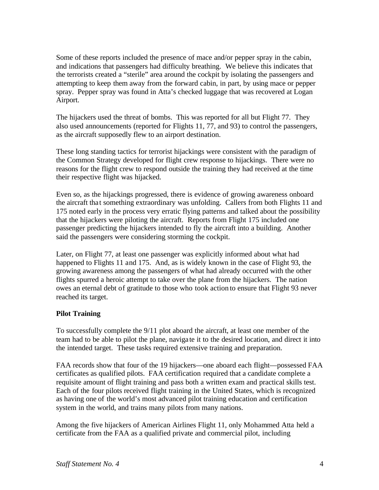Some of these reports included the presence of mace and/or pepper spray in the cabin, and indications that passengers had difficulty breathing. We believe this indicates that the terrorists created a "sterile" area around the cockpit by isolating the passengers and attempting to keep them away from the forward cabin, in part, by using mace or pepper spray. Pepper spray was found in Atta's checked luggage that was recovered at Logan Airport.

The hijackers used the threat of bombs. This was reported for all but Flight 77. They also used announcements (reported for Flights 11, 77, and 93) to control the passengers, as the aircraft supposedly flew to an airport destination.

These long standing tactics for terrorist hijackings were consistent with the paradigm of the Common Strategy developed for flight crew response to hijackings. There were no reasons for the flight crew to respond outside the training they had received at the time their respective flight was hijacked.

Even so, as the hijackings progressed, there is evidence of growing awareness onboard the aircraft tha t something extraordinary was unfolding. Callers from both Flights 11 and 175 noted early in the process very erratic flying patterns and talked about the possibility that the hijackers were piloting the aircraft. Reports from Flight 175 included one passenger predicting the hijackers intended to fly the aircraft into a building. Another said the passengers were considering storming the cockpit.

Later, on Flight 77, at least one passenger was explicitly informed about what had happened to Flights 11 and 175. And, as is widely known in the case of Flight 93, the growing awareness among the passengers of what had already occurred with the other flights spurred a heroic attempt to take over the plane from the hijackers. The nation owes an eternal debt of gratitude to those who took action to ensure that Flight 93 never reached its target.

### **Pilot Training**

To successfully complete the 9/11 plot aboard the aircraft, at least one member of the team had to be able to pilot the plane, naviga te it to the desired location, and direct it into the intended target. These tasks required extensive training and preparation.

FAA records show that four of the 19 hijackers—one aboard each flight—possessed FAA certificates as qualified pilots. FAA certification required that a candidate complete a requisite amount of flight training and pass both a written exam and practical skills test. Each of the four pilots received flight training in the United States, which is recognized as having one of the world's most advanced pilot training education and certification system in the world, and trains many pilots from many nations.

Among the five hijackers of American Airlines Flight 11, only Mohammed Atta held a certificate from the FAA as a qualified private and commercial pilot, including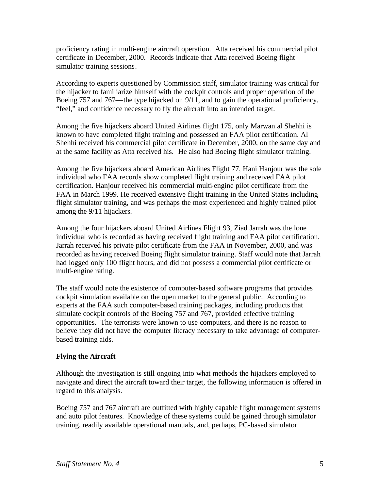proficiency rating in multi-engine aircraft operation. Atta received his commercial pilot certificate in December, 2000. Records indicate that Atta received Boeing flight simulator training sessions.

According to experts questioned by Commission staff, simulator training was critical for the hijacker to familiarize himself with the cockpit controls and proper operation of the Boeing 757 and 767—the type hijacked on 9/11, and to gain the operational proficiency, "feel," and confidence necessary to fly the aircraft into an intended target.

Among the five hijackers aboard United Airlines flight 175, only Marwan al Shehhi is known to have completed flight training and possessed an FAA pilot certification. Al Shehhi received his commercial pilot certificate in December, 2000, on the same day and at the same facility as Atta received his. He also had Boeing flight simulator training.

Among the five hijackers aboard American Airlines Flight 77, Hani Hanjour was the sole individual who FAA records show completed flight training and received FAA pilot certification. Hanjour received his commercial multi-engine pilot certificate from the FAA in March 1999. He received extensive flight training in the United States including flight simulator training, and was perhaps the most experienced and highly trained pilot among the 9/11 hijackers.

Among the four hijackers aboard United Airlines Flight 93, Ziad Jarrah was the lone individual who is recorded as having received flight training and FAA pilot certification. Jarrah received his private pilot certificate from the FAA in November, 2000, and was recorded as having received Boeing flight simulator training. Staff would note that Jarrah had logged only 100 flight hours, and did not possess a commercial pilot certificate or multi-engine rating.

The staff would note the existence of computer-based software programs that provides cockpit simulation available on the open market to the general public. According to experts at the FAA such computer-based training packages, including products that simulate cockpit controls of the Boeing 757 and 767, provided effective training opportunities. The terrorists were known to use computers, and there is no reason to believe they did not have the computer literacy necessary to take advantage of computerbased training aids.

### **Flying the Aircraft**

Although the investigation is still ongoing into what methods the hijackers employed to navigate and direct the aircraft toward their target, the following information is offered in regard to this analysis.

Boeing 757 and 767 aircraft are outfitted with highly capable flight management systems and auto pilot features. Knowledge of these systems could be gained through simulator training, readily available operational manuals, and, perhaps, PC-based simulator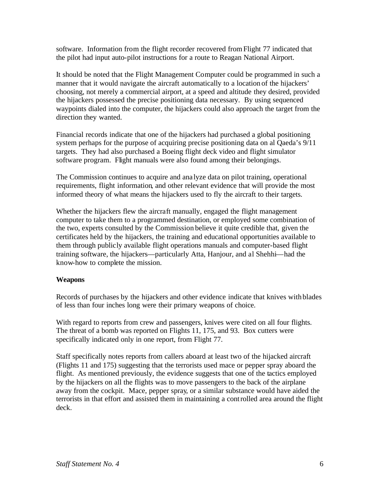software. Information from the flight recorder recovered from Flight 77 indicated that the pilot had input auto-pilot instructions for a route to Reagan National Airport.

It should be noted that the Flight Management Computer could be programmed in such a manner that it would navigate the aircraft automatically to a location of the hijackers' choosing, not merely a commercial airport, at a speed and altitude they desired, provided the hijackers possessed the precise positioning data necessary. By using sequenced waypoints dialed into the computer, the hijackers could also approach the target from the direction they wanted.

Financial records indicate that one of the hijackers had purchased a global positioning system perhaps for the purpose of acquiring precise positioning data on al Qaeda's 9/11 targets. They had also purchased a Boeing flight deck video and flight simulator software program. Flight manuals were also found among their belongings.

The Commission continues to acquire and ana lyze data on pilot training, operational requirements, flight information, and other relevant evidence that will provide the most informed theory of what means the hijackers used to fly the aircraft to their targets.

Whether the hijackers flew the aircraft manually, engaged the flight management computer to take them to a programmed destination, or employed some combination of the two, experts consulted by the Commission believe it quite credible that, given the certificates held by the hijackers, the training and educational opportunities available to them through publicly available flight operations manuals and computer-based flight training software, the hijackers—particularly Atta, Hanjour, and al Shehhi—had the know-how to complete the mission.

#### **Weapons**

Records of purchases by the hijackers and other evidence indicate that knives with blades of less than four inches long were their primary weapons of choice.

With regard to reports from crew and passengers, knives were cited on all four flights. The threat of a bomb was reported on Flights 11, 175, and 93. Box cutters were specifically indicated only in one report, from Flight 77.

Staff specifically notes reports from callers aboard at least two of the hijacked aircraft (Flights 11 and 175) suggesting that the terrorists used mace or pepper spray aboard the flight. As mentioned previously, the evidence suggests that one of the tactics employed by the hijackers on all the flights was to move passengers to the back of the airplane away from the cockpit. Mace, pepper spray, or a similar substance would have aided the terrorists in that effort and assisted them in maintaining a controlled area around the flight deck.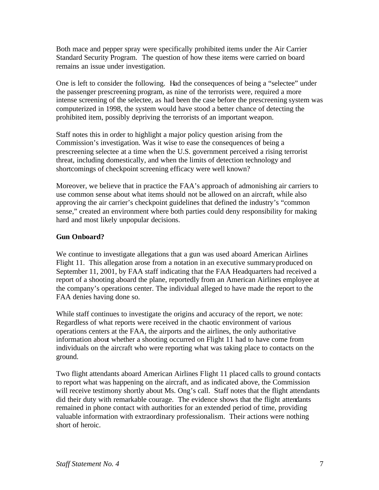Both mace and pepper spray were specifically prohibited items under the Air Carrier Standard Security Program. The question of how these items were carried on board remains an issue under investigation.

One is left to consider the following. Had the consequences of being a "selectee" under the passenger prescreening program, as nine of the terrorists were, required a more intense screening of the selectee, as had been the case before the prescreening system was computerized in 1998, the system would have stood a better chance of detecting the prohibited item, possibly depriving the terrorists of an important weapon.

Staff notes this in order to highlight a major policy question arising from the Commission's investigation. Was it wise to ease the consequences of being a prescreening selectee at a time when the U.S. government perceived a rising terrorist threat, including domestically, and when the limits of detection technology and shortcomings of checkpoint screening efficacy were well known?

Moreover, we believe that in practice the FAA's approach of admonishing air carriers to use common sense about what items should not be allowed on an aircraft, while also approving the air carrier's checkpoint guidelines that defined the industry's "common sense," created an environment where both parties could deny responsibility for making hard and most likely unpopular decisions.

## **Gun Onboard?**

We continue to investigate allegations that a gun was used aboard American Airlines Flight 11. This allegation arose from a notation in an executive summary produced on September 11, 2001, by FAA staff indicating that the FAA Headquarters had received a report of a shooting aboard the plane, reportedly from an American Airlines employee at the company's operations center. The individual alleged to have made the report to the FAA denies having done so.

While staff continues to investigate the origins and accuracy of the report, we note: Regardless of what reports were received in the chaotic environment of various operations centers at the FAA, the airports and the airlines, the only authoritative information about whether a shooting occurred on Flight 11 had to have come from individuals on the aircraft who were reporting what was taking place to contacts on the ground.

Two flight attendants aboard American Airlines Flight 11 placed calls to ground contacts to report what was happening on the aircraft, and as indicated above, the Commission will receive testimony shortly about Ms. Ong's call. Staff notes that the flight attendants did their duty with remarkable courage. The evidence shows that the flight attendants remained in phone contact with authorities for an extended period of time, providing valuable information with extraordinary professionalism. Their actions were nothing short of heroic.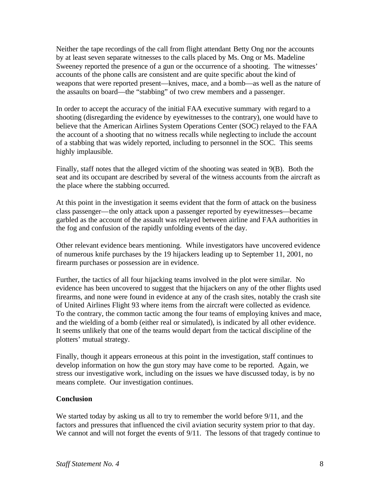Neither the tape recordings of the call from flight attendant Betty Ong nor the accounts by at least seven separate witnesses to the calls placed by Ms. Ong or Ms. Madeline Sweeney reported the presence of a gun or the occurrence of a shooting. The witnesses' accounts of the phone calls are consistent and are quite specific about the kind of weapons that were reported present—knives, mace, and a bomb—as well as the nature of the assaults on board—the "stabbing" of two crew members and a passenger.

In order to accept the accuracy of the initial FAA executive summary with regard to a shooting (disregarding the evidence by eyewitnesses to the contrary), one would have to believe that the American Airlines System Operations Center (SOC) relayed to the FAA the account of a shooting that no witness recalls while neglecting to include the account of a stabbing that was widely reported, including to personnel in the SOC. This seems highly implausible.

Finally, staff notes that the alleged victim of the shooting was seated in 9(B). Both the seat and its occupant are described by several of the witness accounts from the aircraft as the place where the stabbing occurred.

At this point in the investigation it seems evident that the form of attack on the business class passenger—the only attack upon a passenger reported by eyewitnesses—became garbled as the account of the assault was relayed between airline and FAA authorities in the fog and confusion of the rapidly unfolding events of the day.

Other relevant evidence bears mentioning. While investigators have uncovered evidence of numerous knife purchases by the 19 hijackers leading up to September 11, 2001, no firearm purchases or possession are in evidence.

Further, the tactics of all four hijacking teams involved in the plot were similar. No evidence has been uncovered to suggest that the hijackers on any of the other flights used firearms, and none were found in evidence at any of the crash sites, notably the crash site of United Airlines Flight 93 where items from the aircraft were collected as evidence. To the contrary, the common tactic among the four teams of employing knives and mace, and the wielding of a bomb (either real or simulated), is indicated by all other evidence. It seems unlikely that one of the teams would depart from the tactical discipline of the plotters' mutual strategy.

Finally, though it appears erroneous at this point in the investigation, staff continues to develop information on how the gun story may have come to be reported. Again, we stress our investigative work, including on the issues we have discussed today, is by no means complete. Our investigation continues.

#### **Conclusion**

We started today by asking us all to try to remember the world before  $9/11$ , and the factors and pressures that influenced the civil aviation security system prior to that day. We cannot and will not forget the events of 9/11. The lessons of that tragedy continue to